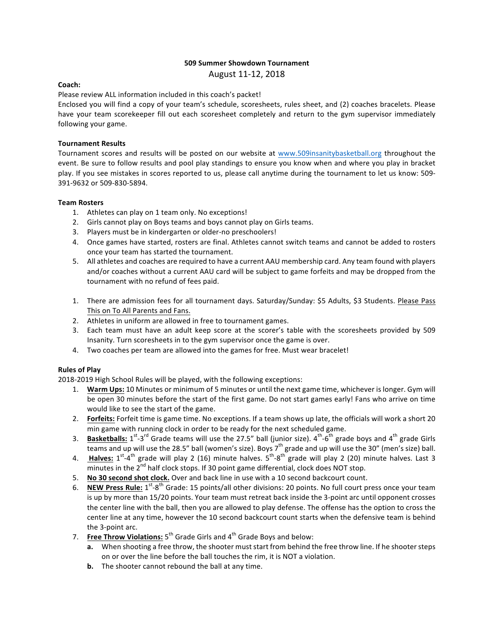## **509 Summer Showdown Tournament**

August 11-12, 2018

## **Coach:**

Please review ALL information included in this coach's packet!

Enclosed you will find a copy of your team's schedule, scoresheets, rules sheet, and (2) coaches bracelets. Please have your team scorekeeper fill out each scoresheet completely and return to the gym supervisor immediately following your game.

## **Tournament Results**

Tournament scores and results will be posted on our website at www.509insanitybasketball.org throughout the event. Be sure to follow results and pool play standings to ensure you know when and where you play in bracket play. If you see mistakes in scores reported to us, please call anytime during the tournament to let us know: 509-391-9632 or 509-830-5894.

#### **Team Rosters**

- 1. Athletes can play on 1 team only. No exceptions!
- 2. Girls cannot play on Boys teams and boys cannot play on Girls teams.
- 3. Players must be in kindergarten or older-no preschoolers!
- 4. Once games have started, rosters are final. Athletes cannot switch teams and cannot be added to rosters once your team has started the tournament.
- 5. All athletes and coaches are required to have a current AAU membership card. Any team found with players and/or coaches without a current AAU card will be subject to game forfeits and may be dropped from the tournament with no refund of fees paid.
- 1. There are admission fees for all tournament days. Saturday/Sunday: \$5 Adults, \$3 Students. Please Pass This on To All Parents and Fans.
- 2. Athletes in uniform are allowed in free to tournament games.
- 3. Each team must have an adult keep score at the scorer's table with the scoresheets provided by 509 Insanity. Turn scoresheets in to the gym supervisor once the game is over.
- 4. Two coaches per team are allowed into the games for free. Must wear bracelet!

# **Rules of Play**

2018-2019 High School Rules will be played, with the following exceptions:

- 1. Warm Ups: 10 Minutes or minimum of 5 minutes or until the next game time, whichever is longer. Gym will be open 30 minutes before the start of the first game. Do not start games early! Fans who arrive on time would like to see the start of the game.
- 2. **Forfeits:** Forfeit time is game time. No exceptions. If a team shows up late, the officials will work a short 20 min game with running clock in order to be ready for the next scheduled game.
- 3. Basketballs: 1<sup>st</sup>-3<sup>rd</sup> Grade teams will use the 27.5" ball (junior size). 4<sup>th</sup>-6<sup>th</sup> grade boys and 4<sup>th</sup> grade Girls teams and up will use the 28.5" ball (women's size). Boys  $7<sup>th</sup>$  grade and up will use the 30" (men's size) ball.
- 4. Halves: 1<sup>st</sup>-4<sup>th</sup> grade will play 2 (16) minute halves. 5<sup>th</sup>-8<sup>th</sup> grade will play 2 (20) minute halves. Last 3  $\overline{\text{minutes}}$  in the 2<sup>nd</sup> half clock stops. If 30 point game differential, clock does NOT stop.
- 5. **No 30 second shot clock.** Over and back line in use with a 10 second backcourt count.
- 6. **NEW Press Rule:** 1<sup>st</sup>-8<sup>th</sup> Grade: 15 points/all other divisions: 20 points. No full court press once your team is up by more than 15/20 points. Your team must retreat back inside the 3-point arc until opponent crosses the center line with the ball, then you are allowed to play defense. The offense has the option to cross the center line at any time, however the 10 second backcourt count starts when the defensive team is behind the 3-point arc.
- 7. **Free Throw Violations:** 5<sup>th</sup> Grade Girls and 4<sup>th</sup> Grade Boys and below:
	- **a.** When shooting a free throw, the shooter must start from behind the free throw line. If he shooter steps on or over the line before the ball touches the rim, it is NOT a violation.
	- **b.** The shooter cannot rebound the ball at any time.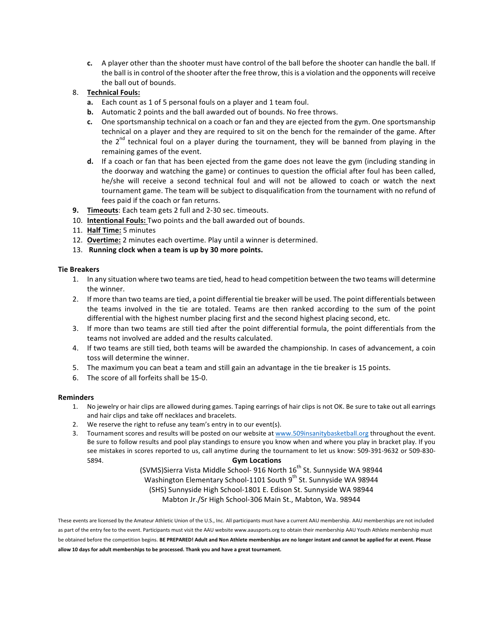**c.** A player other than the shooter must have control of the ball before the shooter can handle the ball. If the ball is in control of the shooter after the free throw, this is a violation and the opponents will receive the ball out of bounds.

# 8. **Technical Fouls:**

- **a.** Each count as 1 of 5 personal fouls on a player and 1 team foul.
- **b.** Automatic 2 points and the ball awarded out of bounds. No free throws.
- **c.** One sportsmanship technical on a coach or fan and they are ejected from the gym. One sportsmanship technical on a player and they are required to sit on the bench for the remainder of the game. After the  $2^{nd}$  technical foul on a player during the tournament, they will be banned from playing in the remaining games of the event.
- **d.** If a coach or fan that has been ejected from the game does not leave the gym (including standing in the doorway and watching the game) or continues to question the official after foul has been called, he/she will receive a second technical foul and will not be allowed to coach or watch the next tournament game. The team will be subject to disqualification from the tournament with no refund of fees paid if the coach or fan returns.
- **9. Timeouts**: Each team gets 2 full and 2-30 sec. timeouts.
- 10. **Intentional Fouls:** Two points and the ball awarded out of bounds.
- 11. **Half Time:** 5 minutes
- 12. **Overtime:** 2 minutes each overtime. Play until a winner is determined.
- 13. Running clock when a team is up by 30 more points.

#### **Tie Breakers**

- 1. In any situation where two teams are tied, head to head competition between the two teams will determine the winner.
- 2. If more than two teams are tied, a point differential tie breaker will be used. The point differentials between the teams involved in the tie are totaled. Teams are then ranked according to the sum of the point differential with the highest number placing first and the second highest placing second, etc.
- 3. If more than two teams are still tied after the point differential formula, the point differentials from the teams not involved are added and the results calculated.
- 4. If two teams are still tied, both teams will be awarded the championship. In cases of advancement, a coin toss will determine the winner.
- 5. The maximum you can beat a team and still gain an advantage in the tie breaker is 15 points.
- 6. The score of all forfeits shall be 15-0.

#### **Reminders**

- 1. No jewelry or hair clips are allowed during games. Taping earrings of hair clips is not OK. Be sure to take out all earrings and hair clips and take off necklaces and bracelets.
- 2. We reserve the right to refuse any team's entry in to our event(s).
- 3. Tournament scores and results will be posted on our website at www.509insanitybasketball.org throughout the event. Be sure to follow results and pool play standings to ensure you know when and where you play in bracket play. If you see mistakes in scores reported to us, call anytime during the tournament to let us know: 509-391-9632 or 509-830-5894. **Gym Locations**

(SVMS)Sierra Vista Middle School- 916 North 16<sup>th</sup> St. Sunnyside WA 98944

Washington Elementary School-1101 South 9<sup>th</sup> St. Sunnyside WA 98944

(SHS) Sunnyside High School-1801 E. Edison St. Sunnyside WA 98944

Mabton Jr./Sr High School-306 Main St., Mabton, Wa. 98944

These events are licensed by the Amateur Athletic Union of the U.S., Inc. All participants must have a current AAU membership. AAU memberships are not included as part of the entry fee to the event. Participants must visit the AAU website www.aausports.org to obtain their membership AAU Youth Athlete membership must be obtained before the competition begins. BE PREPARED! Adult and Non Athlete memberships are no longer instant and cannot be applied for at event. Please allow 10 days for adult memberships to be processed. Thank you and have a great tournament.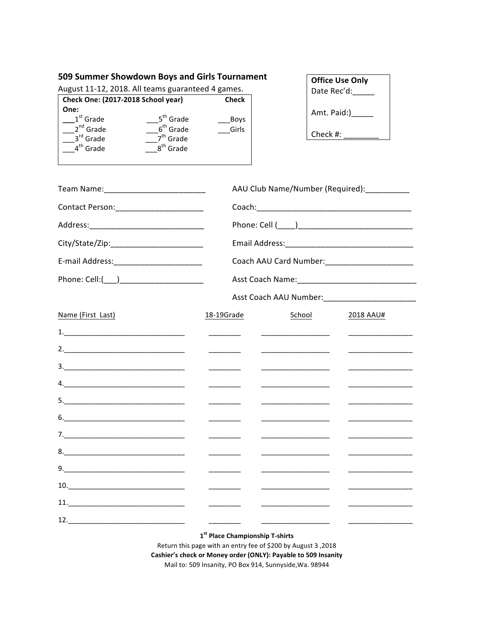# 509 Summer Showdown Boys and Girls Tournament

August 11-12, 2018. All teams guaranteed 4 games.

| Check One: (2017-2018 School year) |                       | Check |
|------------------------------------|-----------------------|-------|
| One:                               |                       |       |
| $1st$ Grade                        | 5 <sup>th</sup> Grade | Boys  |
| $2^{nd}$ Grade                     | $6th$ Grade           | Girls |
| 3rd Grade                          | 7 <sup>th</sup> Grade |       |
| 4 <sup>th</sup> Grade              | 8 <sup>th</sup> Grade |       |
|                                    |                       |       |

| <b>Office Use Only</b> |
|------------------------|
| Date Rec'd:            |
|                        |
| Amt. Paid:)            |

Check #:  $\overline{\phantom{a}}$ 

| Team Name: _______________________________                                                                                                                                                                                                                                                                                                                   |                                                                                                                                                                                                                                                                                                                                                                                                                        | AAU Club Name/Number (Required): __________  |                                              |
|--------------------------------------------------------------------------------------------------------------------------------------------------------------------------------------------------------------------------------------------------------------------------------------------------------------------------------------------------------------|------------------------------------------------------------------------------------------------------------------------------------------------------------------------------------------------------------------------------------------------------------------------------------------------------------------------------------------------------------------------------------------------------------------------|----------------------------------------------|----------------------------------------------|
| Contact Person: __________________________                                                                                                                                                                                                                                                                                                                   |                                                                                                                                                                                                                                                                                                                                                                                                                        |                                              |                                              |
|                                                                                                                                                                                                                                                                                                                                                              |                                                                                                                                                                                                                                                                                                                                                                                                                        |                                              |                                              |
|                                                                                                                                                                                                                                                                                                                                                              |                                                                                                                                                                                                                                                                                                                                                                                                                        |                                              |                                              |
| E-mail Address:___________________________                                                                                                                                                                                                                                                                                                                   |                                                                                                                                                                                                                                                                                                                                                                                                                        |                                              |                                              |
|                                                                                                                                                                                                                                                                                                                                                              |                                                                                                                                                                                                                                                                                                                                                                                                                        |                                              |                                              |
|                                                                                                                                                                                                                                                                                                                                                              |                                                                                                                                                                                                                                                                                                                                                                                                                        |                                              |                                              |
| Name (First Last)                                                                                                                                                                                                                                                                                                                                            | 18-19Grade                                                                                                                                                                                                                                                                                                                                                                                                             | School                                       | 2018 AAU#                                    |
|                                                                                                                                                                                                                                                                                                                                                              | $\begin{tabular}{ccccc} \multicolumn{2}{c }{\textbf{1} & \textbf{2} & \textbf{3} & \textbf{4} & \textbf{5} & \textbf{5} & \textbf{6} & \textbf{7} & \textbf{8} & \textbf{9} & \textbf{10} & \textbf{10} & \textbf{10} & \textbf{10} & \textbf{10} & \textbf{10} & \textbf{10} & \textbf{10} & \textbf{10} & \textbf{10} & \textbf{10} & \textbf{10} & \textbf{10} & \textbf{10} & \textbf{10} & \textbf{10} & \textbf$ | ______________________________               | _________________                            |
|                                                                                                                                                                                                                                                                                                                                                              | $\begin{array}{cccccccccc} \hline \end{array} \hspace{0.27em} \begin{array}{cccccccccc} \hline \end{array} \hspace{0.27em} \begin{array}{cccccccccc} \hline \end{array} \hspace{0.27em} \begin{array}{cccccccccc} \hline \end{array} \hspace{0.27em} \begin{array}{cccccccccc} \hline \end{array} \hspace{0.27em} \end{array}$                                                                                         | <u> 1989 - Johann Barn, fransk politik (</u> | <u> 1989 - Johann Barbara, martin a</u>      |
| $\begin{array}{c} \n \stackrel{\text{3.}}{ \quad \quad \quad \quad } \\ \n \end{array}$                                                                                                                                                                                                                                                                      |                                                                                                                                                                                                                                                                                                                                                                                                                        | __________________                           | ___________________                          |
|                                                                                                                                                                                                                                                                                                                                                              | $\begin{tabular}{ccccc} \multicolumn{2}{c }{\textbf{1} & \textbf{2} & \textbf{3} & \textbf{4} & \textbf{5} & \textbf{5} & \textbf{6} & \textbf{7} & \textbf{8} & \textbf{9} & \textbf{10} & \textbf{10} & \textbf{10} & \textbf{10} & \textbf{10} & \textbf{10} & \textbf{10} & \textbf{10} & \textbf{10} & \textbf{10} & \textbf{10} & \textbf{10} & \textbf{10} & \textbf{10} & \textbf{10} & \textbf{10} & \textbf$ |                                              | <u> Listen de la componenta</u>              |
|                                                                                                                                                                                                                                                                                                                                                              |                                                                                                                                                                                                                                                                                                                                                                                                                        |                                              | ________________                             |
|                                                                                                                                                                                                                                                                                                                                                              | $\overline{\phantom{a}}$                                                                                                                                                                                                                                                                                                                                                                                               | __________________                           | <u> Listen de la componenta</u>              |
|                                                                                                                                                                                                                                                                                                                                                              |                                                                                                                                                                                                                                                                                                                                                                                                                        | __________________                           |                                              |
|                                                                                                                                                                                                                                                                                                                                                              | $\overline{\phantom{a}}$                                                                                                                                                                                                                                                                                                                                                                                               |                                              |                                              |
|                                                                                                                                                                                                                                                                                                                                                              |                                                                                                                                                                                                                                                                                                                                                                                                                        | ___________________                          | _________________                            |
| $\begin{tabular}{c} 10. & \hspace{15.5cm} \rule{2.2cm}{0.1cm} \rule{2.2cm}{0.1cm} \rule{2.2cm}{0.1cm} \rule{2.2cm}{0.1cm} \rule{2.2cm}{0.1cm} \rule{2.2cm}{0.1cm} \rule{2.2cm}{0.1cm} \rule{2.2cm}{0.1cm} \rule{2.2cm}{0.1cm} \rule{2.2cm}{0.1cm} \rule{2.2cm}{0.1cm} \rule{2.2cm}{0.1cm} \rule{2.2cm}{0.1cm} \rule{2.2cm}{0.1cm} \rule{2.2cm}{0.1cm} \rule$ |                                                                                                                                                                                                                                                                                                                                                                                                                        | ___________________                          | the control of the control of the control of |
|                                                                                                                                                                                                                                                                                                                                                              |                                                                                                                                                                                                                                                                                                                                                                                                                        | ______________________                       | and the control of the control of the        |
| 12.                                                                                                                                                                                                                                                                                                                                                          |                                                                                                                                                                                                                                                                                                                                                                                                                        |                                              |                                              |

1st Place Championship T-shirts

Return this page with an entry fee of \$200 by August 3,2018 Cashier's check or Money order (ONLY): Payable to 509 Insanity Mail to: 509 Insanity, PO Box 914, Sunnyside, Wa. 98944